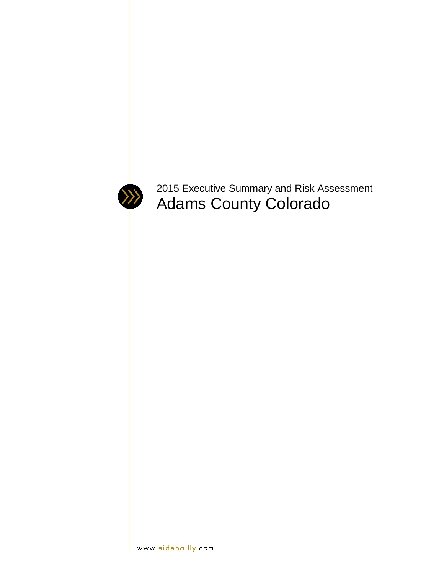

<span id="page-0-0"></span>2015 Executive Summary and Risk Assessment Adams County Colorado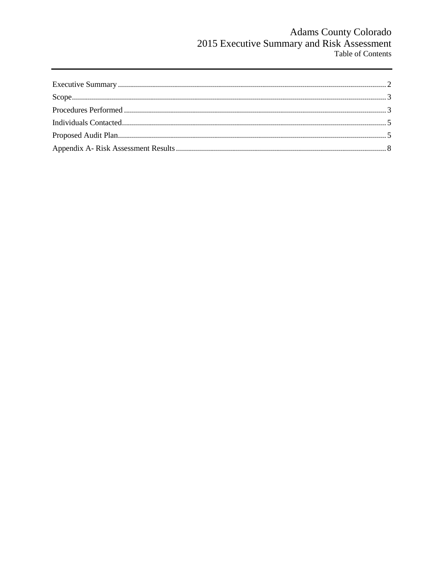# Adams County Colorado<br>2015 Executive Summary and Risk Assessment<br>Table of Contents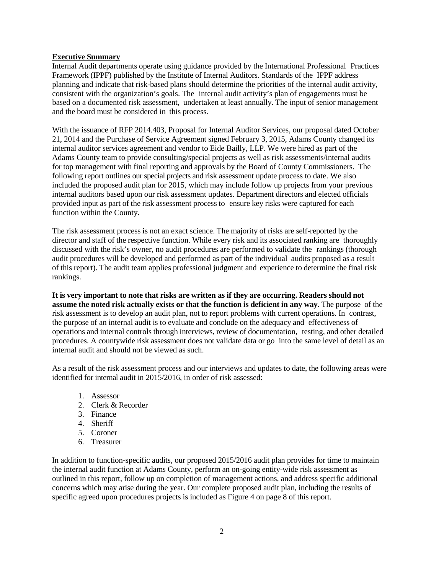### **Executive Summary**

Internal Audit departments operate using guidance provided by the International Professional Practices Framework (IPPF) published by the Institute of Internal Auditors. Standards of the IPPF address planning and indicate that risk-based plans should determine the priorities of the internal audit activity, consistent with the organization's goals. The internal audit activity's plan of engagements must be based on a documented risk assessment, undertaken at least annually. The input of senior management and the board must be considered in this process.

With the issuance of RFP 2014.403, Proposal for Internal Auditor Services, our proposal dated October 21, 2014 and the Purchase of Service Agreement signed February 3, 2015, Adams County changed its internal auditor services agreement and vendor to Eide Bailly, LLP. We were hired as part of the Adams County team to provide consulting/special projects as well as risk assessments/internal audits for top management with final reporting and approvals by the Board of County Commissioners. The following report outlines our special projects and risk assessment update process to date. We also included the proposed audit plan for 2015, which may include follow up projects from your previous internal auditors based upon our risk assessment updates. Department directors and elected officials provided input as part of the risk assessment process to ensure key risks were captured for each function within the County.

The risk assessment process is not an exact science. The majority of risks are self-reported by the director and staff of the respective function. While every risk and its associated ranking are thoroughly discussed with the risk's owner, no audit procedures are performed to validate the rankings (thorough audit procedures will be developed and performed as part of the individual audits proposed as a result of this report). The audit team applies professional judgment and experience to determine the final risk rankings.

**It is very important to note that risks are written as if they are occurring. Readers should not assume the noted risk actually exists or that the function is deficient in any way.** The purpose of the risk assessment is to develop an audit plan, not to report problems with current operations. In contrast, the purpose of an internal audit is to evaluate and conclude on the adequacy and effectiveness of operations and internal controls through interviews, review of documentation, testing, and other detailed procedures. A countywide risk assessment does not validate data or go into the same level of detail as an internal audit and should not be viewed as such.

As a result of the risk assessment process and our interviews and updates to date, the following areas were identified for internal audit in 2015/2016, in order of risk assessed:

- 1. Assessor
- 2. Clerk & Recorder
- 3. Finance
- 4. Sheriff
- 5. Coroner
- 6. Treasurer

In addition to function-specific audits, our proposed 2015/2016 audit plan provides for time to maintain the internal audit function at Adams County, perform an on-going entity-wide risk assessment as outlined in this report, follow up on completion of management actions, and address specific additional concerns which may arise during the year. Our complete proposed audit plan, including the results of specific agreed upon procedures projects is included as Figure 4 on page 8 of this report.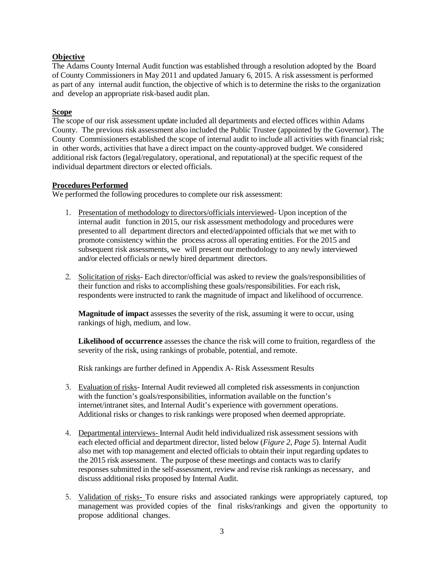# **Objective**

The Adams County Internal Audit function was established through a resolution adopted by the Board of County Commissioners in May 2011 and updated January 6, 2015. A risk assessment is performed as part of any internal audit function, the objective of which is to determine the risks to the organization and develop an appropriate risk-based audit plan.

# <span id="page-3-0"></span>**Scope**

The scope of our risk assessment update included all departments and elected offices within Adams County. The previous risk assessment also included the Public Trustee (appointed by the Governor). The County Commissioners established the scope of internal audit to include all activities with financial risk; in other words, activities that have a direct impact on the county-approved budget. We considered additional risk factors (legal/regulatory, operational, and reputational) at the specific request of the individual department directors or elected officials.

### <span id="page-3-1"></span>**Procedures Performed**

We performed the following procedures to complete our risk assessment:

- 1. Presentation of methodology to directors/officials interviewed- Upon inception of the internal audit function in 2015, our risk assessment methodology and procedures were presented to all department directors and elected/appointed officials that we met with to promote consistency within the process across all operating entities. For the 2015 and subsequent risk assessments, we will present our methodology to any newly interviewed and/or elected officials or newly hired department directors.
- 2. Solicitation of risks- Each director/official was asked to review the goals/responsibilities of their function and risks to accomplishing these goals/responsibilities. For each risk, respondents were instructed to rank the magnitude of impact and likelihood of occurrence.

**Magnitude of impact** assesses the severity of the risk, assuming it were to occur, using rankings of high, medium, and low.

**Likelihood of occurrence** assesses the chance the risk will come to fruition, regardless of the severity of the risk, using rankings of probable, potential, and remote.

Risk rankings are further defined in Appendix A- Risk Assessment Results

- 3. Evaluation of risks- Internal Audit reviewed all completed risk assessments in conjunction with the function's goals/responsibilities, information available on the function's internet/intranet sites, and Internal Audit's experience with government operations. Additional risks or changes to risk rankings were proposed when deemed appropriate.
- 4. Departmental interviews- Internal Audit held individualized risk assessment sessions with each elected official and department director, listed below (*Figure 2, Page 5*). Internal Audit also met with top management and elected officials to obtain their input regarding updates to the 2015 risk assessment. The purpose of these meetings and contacts was to clarify responses submitted in the self-assessment, review and revise risk rankings as necessary, and discuss additional risks proposed by Internal Audit.
- 5. Validation of risks- To ensure risks and associated rankings were appropriately captured, top management was provided copies of the final risks/rankings and given the opportunity to propose additional changes.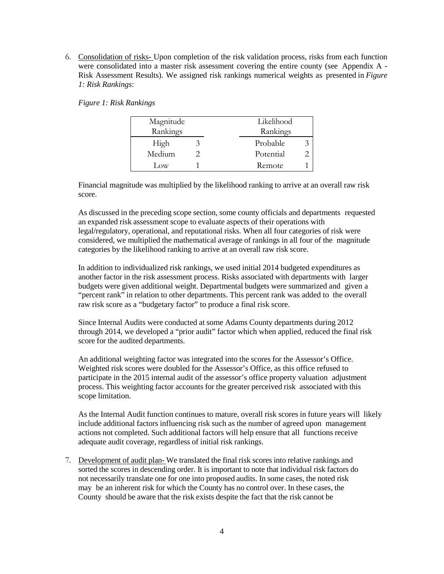6. Consolidation of risks- Upon completion of the risk validation process, risks from each function were consolidated into a master risk assessment covering the entire county (see Appendix A - Risk Assessment Results). We assigned risk rankings numerical weights as presented in *Figure 1: Risk Rankings*:

|  | Figure 1: Risk Rankings |  |
|--|-------------------------|--|
|  |                         |  |

| Magnitude | Likelihood |
|-----------|------------|
| Rankings  | Rankings   |
| High      | Probable   |
| Medium    | Potential  |
| Low       | Remote     |

Financial magnitude was multiplied by the likelihood ranking to arrive at an overall raw risk score.

As discussed in the preceding scope section, some county officials and departments requested an expanded risk assessment scope to evaluate aspects of their operations with legal/regulatory, operational, and reputational risks. When all four categories of risk were considered, we multiplied the mathematical average of rankings in all four of the magnitude categories by the likelihood ranking to arrive at an overall raw risk score.

In addition to individualized risk rankings, we used initial 2014 budgeted expenditures as another factor in the risk assessment process. Risks associated with departments with larger budgets were given additional weight. Departmental budgets were summarized and given a "percent rank" in relation to other departments. This percent rank was added to the overall raw risk score as a "budgetary factor" to produce a final risk score.

Since Internal Audits were conducted at some Adams County departments during 2012 through 2014, we developed a "prior audit" factor which when applied, reduced the final risk score for the audited departments.

An additional weighting factor was integrated into the scores for the Assessor's Office. Weighted risk scores were doubled for the Assessor's Office, as this office refused to participate in the 2015 internal audit of the assessor's office property valuation adjustment process. This weighting factor accounts for the greater perceived risk associated with this scope limitation.

As the Internal Audit function continues to mature, overall risk scores in future years will likely include additional factors influencing risk such as the number of agreed upon management actions not completed. Such additional factors will help ensure that all functions receive adequate audit coverage, regardless of initial risk rankings.

7. Development of audit plan- We translated the final risk scores into relative rankings and sorted the scores in descending order. It is important to note that individual risk factors do not necessarily translate one for one into proposed audits. In some cases, the noted risk may be an inherent risk for which the County has no control over. In these cases, the County should be aware that the risk exists despite the fact that the risk cannot be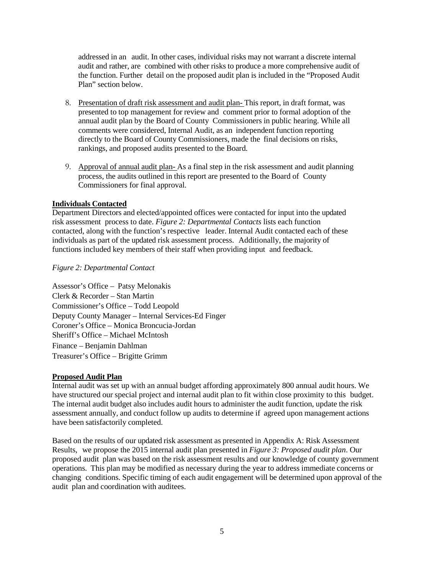addressed in an audit. In other cases, individual risks may not warrant a discrete internal audit and rather, are combined with other risks to produce a more comprehensive audit of the function. Further detail on the proposed audit plan is included in the "Proposed Audit Plan" section below.

- 8. Presentation of draft risk assessment and audit plan- This report, in draft format, was presented to top management for review and comment prior to formal adoption of the annual audit plan by the Board of County Commissioners in public hearing. While all comments were considered, Internal Audit, as an independent function reporting directly to the Board of County Commissioners, made the final decisions on risks, rankings, and proposed audits presented to the Board.
- 9. Approval of annual audit plan- As a final step in the risk assessment and audit planning process, the audits outlined in this report are presented to the Board of County Commissioners for final approval.

### <span id="page-5-0"></span>**Individuals Contacted**

Department Directors and elected/appointed offices were contacted for input into the updated risk assessment process to date. *Figure 2: Departmental Contacts* lists each function contacted, along with the function's respective leader. Internal Audit contacted each of these individuals as part of the updated risk assessment process. Additionally, the majority of functions included key members of their staff when providing input and feedback.

### *Figure 2: Departmental Contact*

Assessor's Office – Patsy Melonakis Clerk & Recorder – Stan Martin Commissioner's Office – Todd Leopold Deputy County Manager – Internal Services-Ed Finger Coroner's Office – Monica Broncucia-Jordan Sheriff's Office – Michael McIntosh Finance – Benjamin Dahlman Treasurer's Office – Brigitte Grimm

### <span id="page-5-1"></span>**Proposed Audit Plan**

Internal audit was set up with an annual budget affording approximately 800 annual audit hours. We have structured our special project and internal audit plan to fit within close proximity to this budget. The internal audit budget also includes audit hours to administer the audit function, update the risk assessment annually, and conduct follow up audits to determine if agreed upon management actions have been satisfactorily completed.

Based on the results of our updated risk assessment as presented in Appendix A: Risk Assessment Results, we propose the 2015 internal audit plan presented in *Figure 3: Proposed audit plan*. Our proposed audit plan was based on the risk assessment results and our knowledge of county government operations. This plan may be modified as necessary during the year to address immediate concerns or changing conditions. Specific timing of each audit engagement will be determined upon approval of the audit plan and coordination with auditees.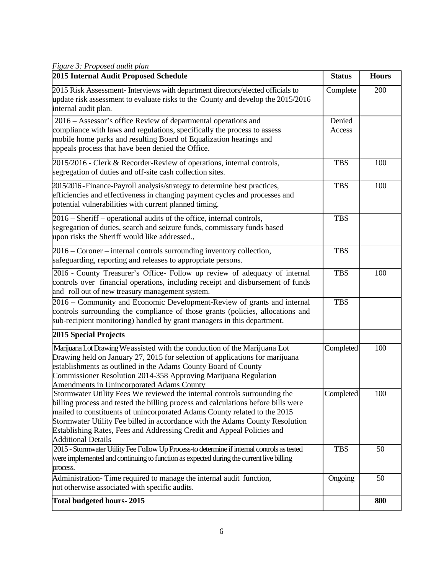*Figure 3: Proposed audit plan*

| 2015 Internal Audit Proposed Schedule                                                                                                                                                                                                                                                                                                                                                                                              | <b>Status</b>    | <b>Hours</b> |
|------------------------------------------------------------------------------------------------------------------------------------------------------------------------------------------------------------------------------------------------------------------------------------------------------------------------------------------------------------------------------------------------------------------------------------|------------------|--------------|
| 2015 Risk Assessment- Interviews with department directors/elected officials to<br>update risk assessment to evaluate risks to the County and develop the 2015/2016<br>internal audit plan.                                                                                                                                                                                                                                        | Complete         | 200          |
| 2016 - Assessor's office Review of departmental operations and<br>compliance with laws and regulations, specifically the process to assess<br>mobile home parks and resulting Board of Equalization hearings and<br>appeals process that have been denied the Office.                                                                                                                                                              | Denied<br>Access |              |
| 2015/2016 - Clerk & Recorder-Review of operations, internal controls,<br>segregation of duties and off-site cash collection sites.                                                                                                                                                                                                                                                                                                 | <b>TBS</b>       | 100          |
| 2015/2016 - Finance-Payroll analysis/strategy to determine best practices,<br>efficiencies and effectiveness in changing payment cycles and processes and<br>potential vulnerabilities with current planned timing.                                                                                                                                                                                                                | <b>TBS</b>       | 100          |
| 2016 – Sheriff – operational audits of the office, internal controls,<br>segregation of duties, search and seizure funds, commissary funds based<br>upon risks the Sheriff would like addressed.,                                                                                                                                                                                                                                  | <b>TBS</b>       |              |
| 2016 – Coroner – internal controls surrounding inventory collection,<br>safeguarding, reporting and releases to appropriate persons.                                                                                                                                                                                                                                                                                               | <b>TBS</b>       |              |
| 2016 - County Treasurer's Office- Follow up review of adequacy of internal<br>controls over financial operations, including receipt and disbursement of funds<br>and roll out of new treasury management system.                                                                                                                                                                                                                   | <b>TBS</b>       | 100          |
| 2016 – Community and Economic Development-Review of grants and internal<br>controls surrounding the compliance of those grants (policies, allocations and<br>sub-recipient monitoring) handled by grant managers in this department.                                                                                                                                                                                               | <b>TBS</b>       |              |
| 2015 Special Projects                                                                                                                                                                                                                                                                                                                                                                                                              |                  |              |
| Marijuana Lot Drawing We assisted with the conduction of the Marijuana Lot<br>Drawing held on January 27, 2015 for selection of applications for marijuana<br>establishments as outlined in the Adams County Board of County<br>Commissioner Resolution 2014-358 Approving Marijuana Regulation<br><b>Amendments in Unincorporated Adams County</b>                                                                                | Completed        | 100          |
| Stormwater Utility Fees We reviewed the internal controls surrounding the<br>billing process and tested the billing process and calculations before bills were<br>mailed to constituents of unincorporated Adams County related to the 2015<br>Stormwater Utility Fee billed in accordance with the Adams County Resolution<br>Establishing Rates, Fees and Addressing Credit and Appeal Policies and<br><b>Additional Details</b> | Completed        | 100          |
| 2015 - Stormwater Utility Fee Follow Up Process-to determine if internal controls as tested<br>were implemented and continuing to function as expected during the current live billing<br>process.                                                                                                                                                                                                                                 | <b>TBS</b>       | 50           |
| Administration-Time required to manage the internal audit function,<br>not otherwise associated with specific audits.                                                                                                                                                                                                                                                                                                              | Ongoing          | 50           |
| <b>Total budgeted hours-2015</b>                                                                                                                                                                                                                                                                                                                                                                                                   |                  | 800          |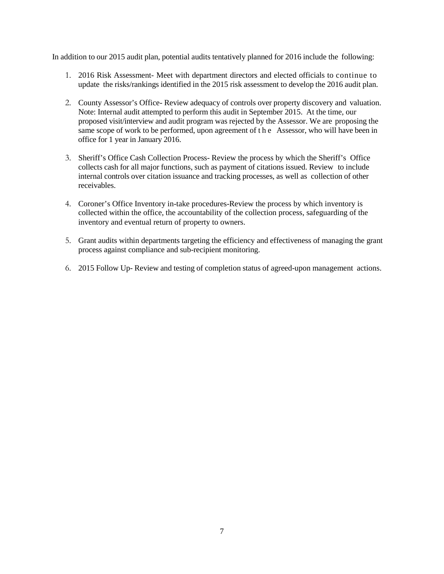In addition to our 2015 audit plan, potential audits tentatively planned for 2016 include the following:

- 1. 2016 Risk Assessment- Meet with department directors and elected officials to continue to update the risks/rankings identified in the 2015 risk assessment to develop the 2016 audit plan.
- 2. County Assessor's Office- Review adequacy of controls over property discovery and valuation. Note: Internal audit attempted to perform this audit in September 2015. At the time, our proposed visit/interview and audit program was rejected by the Assessor. We are proposing the same scope of work to be performed, upon agreement of the Assessor, who will have been in office for 1 year in January 2016.
- 3. Sheriff's Office Cash Collection Process- Review the process by which the Sheriff's Office collects cash for all major functions, such as payment of citations issued. Review to include internal controls over citation issuance and tracking processes, as well as collection of other receivables.
- 4. Coroner's Office Inventory in-take procedures-Review the process by which inventory is collected within the office, the accountability of the collection process, safeguarding of the inventory and eventual return of property to owners.
- 5. Grant audits within departments targeting the efficiency and effectiveness of managing the grant process against compliance and sub-recipient monitoring.
- 6. 2015 Follow Up- Review and testing of completion status of agreed-upon management actions.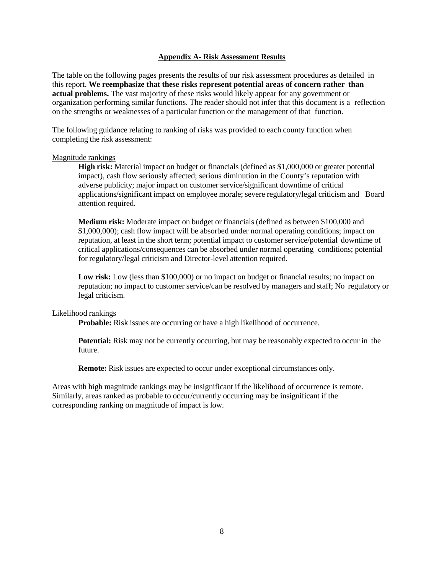#### **Appendix A- Risk Assessment Results**

<span id="page-8-0"></span>The table on the following pages presents the results of our risk assessment procedures as detailed in this report. **We reemphasize that these risks represent potential areas of concern rather than actual problems.** The vast majority of these risks would likely appear for any government or organization performing similar functions. The reader should not infer that this document is a reflection on the strengths or weaknesses of a particular function or the management of that function.

The following guidance relating to ranking of risks was provided to each county function when completing the risk assessment:

#### Magnitude rankings

**High risk:** Material impact on budget or financials (defined as \$1,000,000 or greater potential impact), cash flow seriously affected; serious diminution in the County's reputation with adverse publicity; major impact on customer service/significant downtime of critical applications/significant impact on employee morale; severe regulatory/legal criticism and Board attention required.

**Medium risk:** Moderate impact on budget or financials (defined as between \$100,000 and \$1,000,000); cash flow impact will be absorbed under normal operating conditions; impact on reputation, at least in the short term; potential impact to customer service/potential downtime of critical applications/consequences can be absorbed under normal operating conditions; potential for regulatory/legal criticism and Director-level attention required.

**Low risk:** Low (less than \$100,000) or no impact on budget or financial results; no impact on reputation; no impact to customer service/can be resolved by managers and staff; No regulatory or legal criticism.

#### Likelihood rankings

**Probable:** Risk issues are occurring or have a high likelihood of occurrence.

**Potential:** Risk may not be currently occurring, but may be reasonably expected to occur in the future.

**Remote:** Risk issues are expected to occur under exceptional circumstances only.

Areas with high magnitude rankings may be insignificant if the likelihood of occurrence is remote. Similarly, areas ranked as probable to occur/currently occurring may be insignificant if the corresponding ranking on magnitude of impact is low.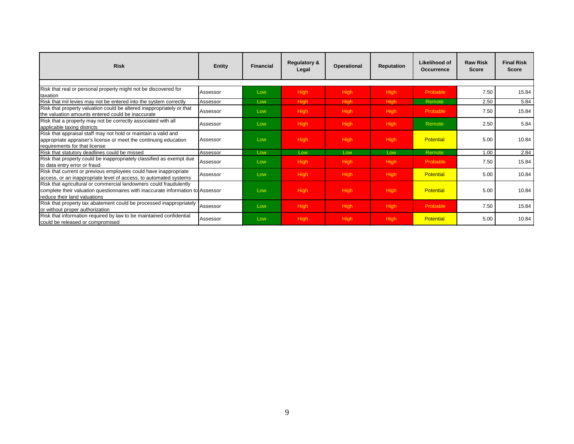| <b>Risk</b>                                                                                                                                                                           | Entity   | <b>Financial</b> | <b>Regulatory &amp;</b><br>Legal | Operational | <b>Reputation</b> | Likelihood of<br><b>Occurrence</b> | <b>Raw Risk</b><br>Score | <b>Final Risk</b><br><b>Score</b> |
|---------------------------------------------------------------------------------------------------------------------------------------------------------------------------------------|----------|------------------|----------------------------------|-------------|-------------------|------------------------------------|--------------------------|-----------------------------------|
|                                                                                                                                                                                       |          |                  |                                  |             |                   |                                    |                          |                                   |
| Risk that real or personal property might not be discovered for<br><b>Itaxation</b>                                                                                                   | Assessor | Low              | <b>High</b>                      | <b>High</b> | <b>High</b>       | Probable                           | 7.50                     | 15.84                             |
| Risk that mil levies may not be entered into the system correctly                                                                                                                     | Assessor | Low              | High                             | <b>High</b> | <b>High</b>       | Remote                             | 2.50                     | 5.84                              |
| Risk that property valuation could be altered inappropriately or that<br>the valuation amounts entered could be inaccurate                                                            | Assessor | Low              | High                             | <b>High</b> | <b>High</b>       | Probable                           | 7.50                     | 15.84                             |
| Risk that a property may not be correctly associated with all<br>applicable taxing districts                                                                                          | Assessor | Low              | <b>High</b>                      | <b>High</b> | <b>High</b>       | Remote                             | 2.50                     | 5.84                              |
| Risk that appraisal staff may not hold or maintain a valid and<br>appropriate appraiser's license or meet the continuing education<br>requirements for that license                   | Assessor | Low              | <b>High</b>                      | <b>High</b> | <b>High</b>       | <b>Potential</b>                   | 5.00                     | 10.84                             |
| Risk that statutory deadlines could be missed                                                                                                                                         | Assessor | Low              | Low                              | Low         | Low               | Remote                             | 1.00                     | 2.84                              |
| Risk that property could be inappropriately classified as exempt due<br>to data entry error or fraud                                                                                  | Assessor | Low              | <b>High</b>                      | <b>High</b> | <b>High</b>       | Probable                           | 7.50                     | 15.84                             |
| Risk that current or previous employees could have inappropriate<br>access, or an inappropriate level of access, to automated systems                                                 | Assessor | Low              | <b>High</b>                      | <b>High</b> | <b>High</b>       | <b>Potential</b>                   | 5.00                     | 10.84                             |
| Risk that agricultural or commercial landowners could fraudulently<br>complete their valuation questionnaires with inaccurate information to Assessor<br>reduce their land valuations |          | Low              | High                             | <b>High</b> | <b>High</b>       | <b>Potential</b>                   | 5.00                     | 10.84                             |
| Risk that property tax abatement could be processed inappropriately<br>or without proper authorization                                                                                | Assessor | Low              | <b>High</b>                      | <b>High</b> | <b>High</b>       | Probable                           | 7.50                     | 15.84                             |
| Risk that information required by law to be maintained confidential<br>could be released or compromised                                                                               | Assessor | Low              | <b>High</b>                      | <b>High</b> | <b>High</b>       | Potential                          | 5.00                     | 10.84                             |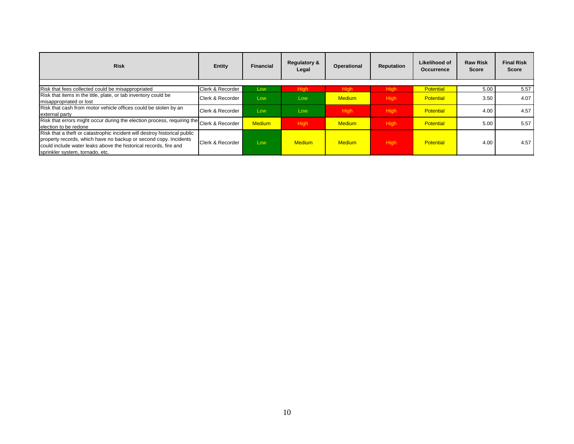| <b>Risk</b>                                                                                                                                                                                                                                          | Entity           | <b>Financial</b> | <b>Regulatory &amp;</b><br>Legal | Operational   | Reputation  | Likelihood of<br><b>Occurrence</b> | <b>Raw Risk</b><br>Score | <b>Final Risk</b><br><b>Score</b> |
|------------------------------------------------------------------------------------------------------------------------------------------------------------------------------------------------------------------------------------------------------|------------------|------------------|----------------------------------|---------------|-------------|------------------------------------|--------------------------|-----------------------------------|
|                                                                                                                                                                                                                                                      |                  |                  |                                  |               |             |                                    |                          |                                   |
| Risk that fees collected could be misappropriated                                                                                                                                                                                                    | Clerk & Recorder | Low              | Hiah                             | <b>High</b>   | <b>High</b> | Potential                          | 5.00                     | 5.57                              |
| Risk that items in the title, plate, or tab inventory could be<br>Imisappropriated or lost                                                                                                                                                           | Clerk & Recorder | Low              | Low                              | <b>Medium</b> | <b>High</b> | <b>Potential</b>                   | 3.50                     | 4.07                              |
| Risk that cash from motor vehicle offices could be stolen by an<br>external party                                                                                                                                                                    | Clerk & Recorder | Low              | Low                              | <b>High</b>   | <b>High</b> | <b>Potential</b>                   | 4.00                     | 4.57                              |
| Risk that errors might occur during the election process, requiring the Clerk & Recorder<br>election to be redone                                                                                                                                    |                  | <b>Medium</b>    | <b>High</b>                      | <b>Medium</b> | <b>High</b> | <b>Potential</b>                   | 5.00                     | 5.57                              |
| Risk that a theft or catastrophic incident will destroy historical public<br>property records, which have no backup or second copy. Incidents<br>could include water leaks above the historical records, fire and<br>sprinkler system, tornado, etc. | Clerk & Recorder | Low              | <b>Medium</b>                    | <b>Medium</b> | <b>High</b> | <b>Potential</b>                   | 4.00                     | 4.57                              |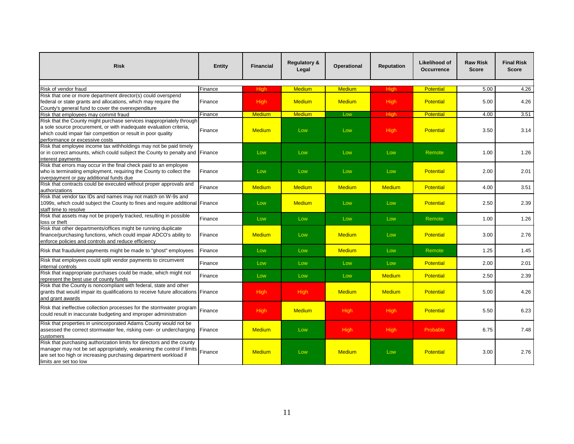| <b>Risk</b>                                                                                                                                                                                                                                   | <b>Entity</b>   | <b>Financial</b> | <b>Regulatory &amp;</b><br>Legal | <b>Operational</b> | <b>Reputation</b> | <b>Likelihood of</b><br><b>Occurrence</b> | <b>Raw Risk</b><br><b>Score</b> | <b>Final Risk</b><br><b>Score</b> |
|-----------------------------------------------------------------------------------------------------------------------------------------------------------------------------------------------------------------------------------------------|-----------------|------------------|----------------------------------|--------------------|-------------------|-------------------------------------------|---------------------------------|-----------------------------------|
| Risk of vendor fraud                                                                                                                                                                                                                          |                 | <b>High</b>      | <b>Medium</b>                    | <b>Medium</b>      | High              | <b>Potential</b>                          | 5.00                            | 4.26                              |
| Risk that one or more department director(s) could overspend                                                                                                                                                                                  | Finance         |                  |                                  |                    |                   |                                           |                                 |                                   |
| federal or state grants and allocations, which may require the<br>County's general fund to cover the overexpenditure                                                                                                                          | Finance         | <b>High</b>      | <b>Medium</b>                    | <b>Medium</b>      | <b>High</b>       | <b>Potential</b>                          | 5.00                            | 4.26                              |
| Risk that employees may commit fraud                                                                                                                                                                                                          | Finance         | <b>Medium</b>    | <b>Medium</b>                    | Low                | High              | <b>Potential</b>                          | 4.00                            | 3.51                              |
| Risk that the County might purchase services inappropriately through<br>a sole source procurement, or with inadequate evaluation criteria,<br>which could impair fair competition or result in poor quality<br>performance or excessive costs | Finance         | <b>Medium</b>    | Low                              | Low                | <b>High</b>       | <b>Potential</b>                          | 3.50                            | 3.14                              |
| Risk that employee income tax withholdings may not be paid timely<br>or in correct amounts, which could subject the County to penalty and Finance<br>interest payments                                                                        |                 | Low              | Low                              | Low                | Low               | Remote                                    | 1.00                            | 1.26                              |
| Risk that errors may occur in the final check paid to an employee<br>who is terminating employment, requiring the County to collect the<br>overpayment or pay additional funds due                                                            | Finance         | Low              | Low                              | Low                | Low               | <b>Potential</b>                          | 2.00                            | 2.01                              |
| Risk that contracts could be executed without proper approvals and<br>authorizations                                                                                                                                                          | Finance         | <b>Medium</b>    | <b>Medium</b>                    | <b>Medium</b>      | <b>Medium</b>     | <b>Potential</b>                          | 4.00                            | 3.51                              |
| Risk that vendor tax IDs and names may not match on W-9s and<br>1099s, which could subject the County to fines and require additional Finance<br>staff time to resolve                                                                        |                 | Low              | <b>Medium</b>                    | Low                | Low               | <b>Potential</b>                          | 2.50                            | 2.39                              |
| Risk that assets may not be properly tracked, resulting in possible<br>loss or theft                                                                                                                                                          | Finance         | Low              | Low                              | Low                | Low               | Remote                                    | 1.00                            | 1.26                              |
| Risk that other departments/offices might be running duplicate<br>finance/purchasing functions, which could impair ADCO's ability to<br>enforce policies and controls and reduce efficiency                                                   | Finance         | <b>Medium</b>    | Low                              | <b>Medium</b>      | Low               | <b>Potential</b>                          | 3.00                            | 2.76                              |
| Risk that fraudulent payments might be made to "ghost" employees                                                                                                                                                                              | Finance         | Low              | Low                              | <b>Medium</b>      | Low               | Remote                                    | 1.25                            | 1.45                              |
| Risk that employees could split vendor payments to circumvent<br>internal controls                                                                                                                                                            | Finance         | Low              | Low                              | Low                | Low               | <b>Potential</b>                          | 2.00                            | 2.01                              |
| Risk that inappropriate purchases could be made, which might not<br>represent the best use of county funds                                                                                                                                    | Finance         | Low              | Low                              | Low                | <b>Medium</b>     | <b>Potential</b>                          | 2.50                            | 2.39                              |
| Risk that the County is noncompliant with federal, state and other<br>grants that would impair its qualifications to receive future allocations Finance<br>and grant awards                                                                   |                 | <b>High</b>      | <b>High</b>                      | <b>Medium</b>      | <b>Medium</b>     | <b>Potential</b>                          | 5.00                            | 4.26                              |
| Risk that ineffective collection processes for the stormwater program<br>could result in inaccurate budgeting and improper administration                                                                                                     | Finance         | <b>High</b>      | <b>Medium</b>                    | <b>High</b>        | <b>High</b>       | <b>Potential</b>                          | 5.50                            | 6.23                              |
| Risk that properties in unincorporated Adams County would not be<br>assessed the correct stormwater fee, risking over- or undercharging<br>customers                                                                                          | <b>IFinance</b> | <b>Medium</b>    | Low                              | <b>High</b>        | <b>High</b>       | Probable                                  | 6.75                            | 7.48                              |
| Risk that purchasing authorization limits for directors and the county<br>manager may not be set appropriately, weakening the control if limits<br>are set too high or increasing purchasing department workload if<br>limits are set too low | Finance         | <b>Medium</b>    | Low                              | <b>Medium</b>      | Low               | <b>Potential</b>                          | 3.00                            | 2.76                              |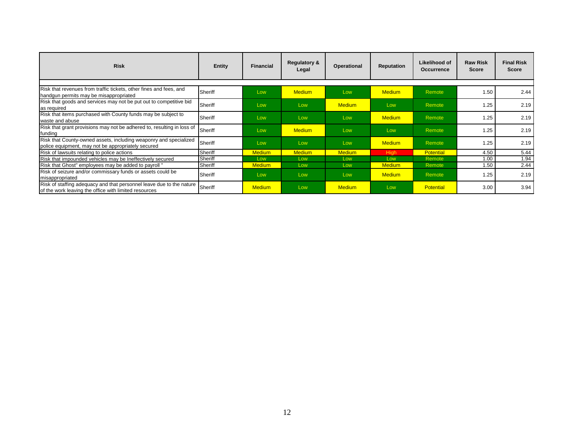| <b>Risk</b>                                                                                                                   | Entity  | <b>Financial</b> | <b>Regulatory &amp;</b><br>Legal | Operational   | <b>Reputation</b> | Likelihood of<br>Occurrence | <b>Raw Risk</b><br><b>Score</b> | <b>Final Risk</b><br><b>Score</b> |
|-------------------------------------------------------------------------------------------------------------------------------|---------|------------------|----------------------------------|---------------|-------------------|-----------------------------|---------------------------------|-----------------------------------|
|                                                                                                                               |         |                  |                                  |               |                   |                             |                                 |                                   |
| Risk that revenues from traffic tickets, other fines and fees, and<br>handgun permits may be misappropriated                  | Sheriff | Low              | <b>Medium</b>                    | Low           | <b>Medium</b>     | Remote                      | 1.50                            | 2.44                              |
| Risk that goods and services may not be put out to competitive bid<br>as required                                             | Sheriff | Low              | Low                              | <b>Medium</b> | Low               | Remote                      | 1.25                            | 2.19                              |
| Risk that items purchased with County funds may be subject to<br>waste and abuse                                              | Sheriff | Low              | Low                              | Low           | <b>Medium</b>     | Remote                      | 1.25                            | 2.19                              |
| Risk that grant provisions may not be adhered to, resulting in loss of<br>funding                                             | Sheriff | Low              | <b>Medium</b>                    | Low           | Low               | Remote                      | 1.25                            | 2.19                              |
| Risk that County-owned assets, including weaponry and specialized<br>police equipment, may not be appropriately secured       | Sheriff | Low              | Low                              | Low           | <b>Medium</b>     | Remote                      | 1.25                            | 2.19                              |
| Risk of lawsuits relating to police actions                                                                                   | Sheriff | <b>Medium</b>    | <b>Medium</b>                    | <b>Medium</b> | <b>High</b>       | <b>Potential</b>            | 4.50                            | 5.44                              |
| Risk that impounded vehicles may be Ineffectively secured                                                                     | Sheriff | Low              | Low                              | Low           | Low               | Remote                      | 1.00                            | 1.94                              |
| Risk that Ghost" employees may be added to payroll "                                                                          | Sheriff | <b>Medium</b>    | Low                              | Low           | <b>Medium</b>     | Remote                      | 1.50                            | 2.44                              |
| Risk of seizure and/or commissary funds or assets could be<br><b>I</b> misappropriated                                        | Sheriff | Low              | Low                              | Low           | <b>Medium</b>     | Remote                      | 1.25                            | 2.19                              |
| Risk of staffing adequacy and that personnel leave due to the nature<br>of the work leaving the office with limited resources | Sheriff | <b>Medium</b>    | Low                              | <b>Medium</b> | Low               | <b>Potential</b>            | 3.00                            | 3.94                              |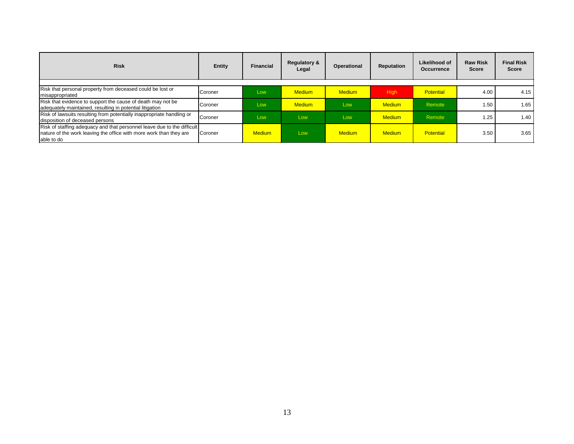| <b>Risk</b>                                                                                                                                                 | Entity  | Financial | <b>Regulatory &amp;</b><br>Legal | Operational   | Reputation    | <b>Likelihood of</b><br><b>Occurrence</b> | <b>Raw Risk</b><br>Score | <b>Final Risk</b><br><b>Score</b> |
|-------------------------------------------------------------------------------------------------------------------------------------------------------------|---------|-----------|----------------------------------|---------------|---------------|-------------------------------------------|--------------------------|-----------------------------------|
| Risk that personal property from deceased could be lost or<br>misappropriated                                                                               | Coroner | Low       | <b>Medium</b>                    | <b>Medium</b> | High          | <b>Potential</b>                          | 4.00                     | 4.15                              |
| Risk that evidence to support the cause of death may not be<br>adequately maintained, resulting in potential litigation                                     | Coroner | Low       | <b>Medium</b>                    | Low           | <b>Medium</b> | Remote                                    | 1.50                     | 1.65                              |
| Risk of lawsuits resulting from potentially inappropriate handling or<br>disposition of deceased persons                                                    | Coroner | Low       | Low                              | Low           | <b>Medium</b> | Remote                                    | 1.25                     | 1.40                              |
| Risk of staffing adequacy and that personnel leave due to the difficult<br>nature of the work leaving the office with more work than they are<br>able to do | Coroner | Medium.   | Low                              | <b>Medium</b> | <b>Medium</b> | <b>Potential</b>                          | 3.50                     | 3.65                              |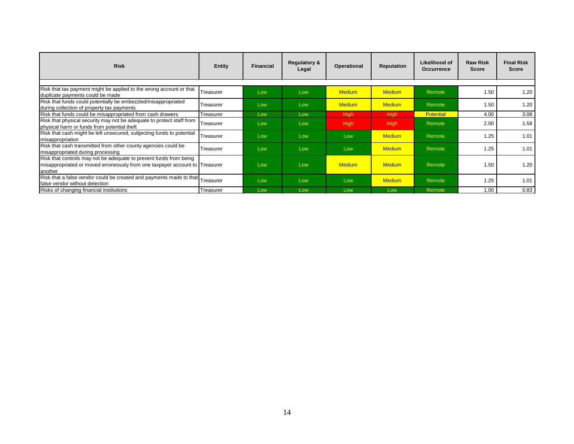| <b>Risk</b>                                                                                                                                                  | <b>Entity</b> | <b>Financial</b> | <b>Regulatory &amp;</b><br>Legal | <b>Operational</b> | <b>Reputation</b> | Likelihood of<br><b>Occurrence</b> | <b>Raw Risk</b><br><b>Score</b> | <b>Final Risk</b><br><b>Score</b> |
|--------------------------------------------------------------------------------------------------------------------------------------------------------------|---------------|------------------|----------------------------------|--------------------|-------------------|------------------------------------|---------------------------------|-----------------------------------|
|                                                                                                                                                              |               |                  |                                  |                    |                   |                                    |                                 |                                   |
| Risk that tax payment might be applied to the wrong account or that<br>duplicate payments could be made                                                      | Treasurer     | Low              | Low                              | <b>Medium</b>      | <b>Medium</b>     | Remote                             | 1.50                            | 1.20                              |
| Risk that funds could potentially be embezzled/misappropriated<br>during collection of property tax payments                                                 | Treasurer     | Low              | Low                              | <b>Medium</b>      | <b>Medium</b>     | Remote                             | 1.50                            | 1.20                              |
| Risk that funds could be misappropriated from cash drawers                                                                                                   | Treasurer     | Low              | Low                              | <b>High</b>        | High              | <b>Potential</b>                   | 4.00                            | 3.08                              |
| Risk that physical security may not be adequate to protect staff from<br>physical harm or funds from potential theft                                         | Treasurer     | Low              | Low                              | <b>High</b>        | High              | Remote                             | 2.00                            | 1.58                              |
| Risk that cash might be left unsecured, subjecting funds to potential<br><b>Imisappropriation</b>                                                            | Treasurer     | Low              | Low                              | Low                | <b>Medium</b>     | Remote                             | 1.25                            | 1.01                              |
| Risk that cash transmitted from other county agencies could be<br>misappropriated during processing                                                          | Treasurer     | Low              | Low                              | Low                | <b>Medium</b>     | Remote                             | 1.25                            | 1.01                              |
| Risk that controls may not be adequate to prevent funds from being<br>misappropriated or moved erroneously from one taxpayer account to Treasurer<br>another |               | Low              | Low                              | <b>Medium</b>      | <b>Medium</b>     | Remote                             | 1.50                            | 1.20                              |
| Risk that a false vendor could be created and payments made to that Treasurer<br>false vendor without detection                                              |               | Low              | Low                              | Low                | <b>Medium</b>     | Remote                             | 1.25                            | 1.01                              |
| Risks of changing financial institutions                                                                                                                     | Treasurer     | Low              | Low                              | Low                | Low               | Remote                             | 1.00                            | 0.83                              |